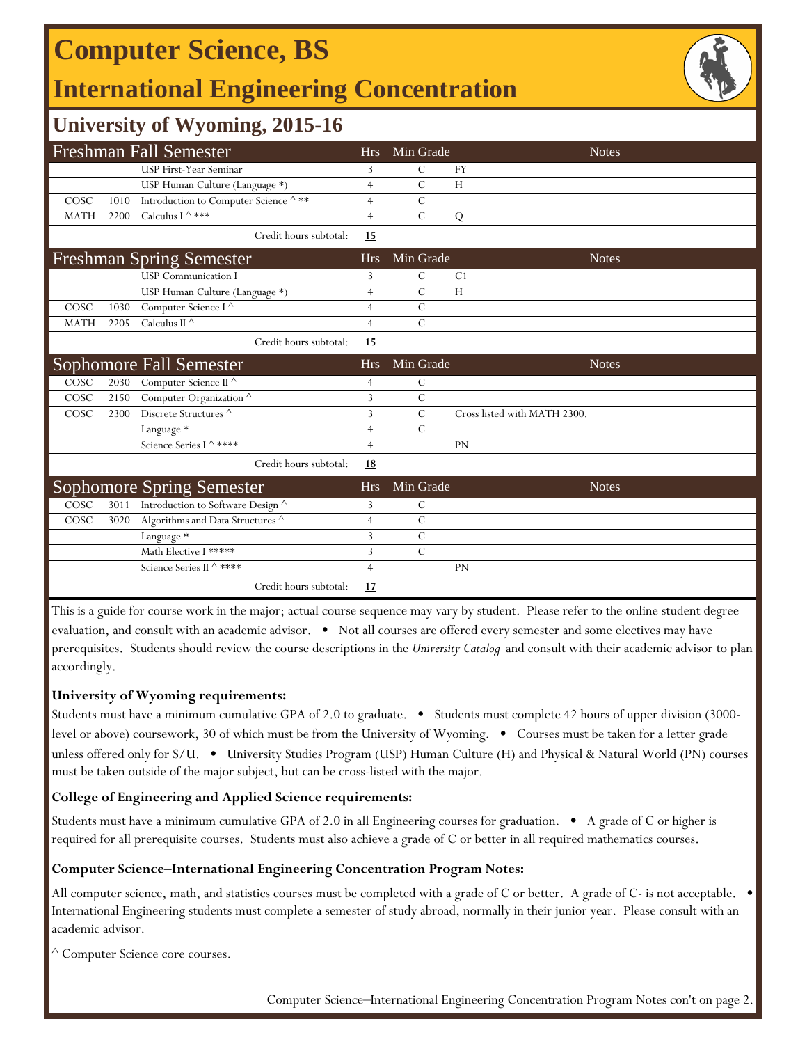## **Computer Science, BS**

## **International Engineering Concentration**



### **University of Wyoming, 2015-16**

|             |      | <b>Freshman Fall Semester</b>                    | <b>Hrs</b>     | Min Grade      | <b>Notes</b>                 |
|-------------|------|--------------------------------------------------|----------------|----------------|------------------------------|
|             |      | USP First-Year Seminar                           | 3              | C              | <b>FY</b>                    |
|             |      | USP Human Culture (Language *)                   | $\overline{4}$ | $\mathcal{C}$  | H                            |
| COSC        | 1010 | Introduction to Computer Science $^\wedge$<br>** | $\overline{4}$ | $\mathcal{C}$  |                              |
| <b>MATH</b> | 2200 | Calculus I $\wedge$ ***                          | $\overline{4}$ | $\mathcal{C}$  | Q                            |
|             |      | Credit hours subtotal:                           | 15             |                |                              |
|             |      | <b>Freshman Spring Semester</b>                  | <b>Hrs</b>     | Min Grade      | <b>Notes</b>                 |
|             |      | <b>USP</b> Communication I                       | 3              | $\mathcal{C}$  | C <sub>1</sub>               |
|             |      | USP Human Culture (Language *)                   | $\overline{4}$ | $\mathcal{C}$  | H                            |
| COSC        | 1030 | Computer Science I $^\wedge$                     | $\overline{4}$ | $\mathcal{C}$  |                              |
| <b>MATH</b> | 2205 | Calculus II $\wedge$                             | $\overline{4}$ | $\mathcal{C}$  |                              |
|             |      | Credit hours subtotal:                           | 15             |                |                              |
|             |      | Sophomore Fall Semester                          | <b>Hrs</b>     | Min Grade      | <b>Notes</b>                 |
| COSC        | 2030 | Computer Science II ^                            | $\overline{4}$ | $\mathcal{C}$  |                              |
| COSC        | 2150 | Computer Organization <sup>^</sup>               | 3              | $\mathcal{C}$  |                              |
| COSC        | 2300 | Discrete Structures ^                            | 3              | $\mathcal{C}$  | Cross listed with MATH 2300. |
|             |      | Language *                                       | $\overline{4}$ | $\mathcal{C}$  |                              |
|             |      | Science Series I ^ ****                          | $\overline{4}$ |                | PN                           |
|             |      | Credit hours subtotal:                           | <u>18</u>      |                |                              |
|             |      | <b>Sophomore Spring Semester</b>                 | <b>Hrs</b>     | Min Grade      | <b>Notes</b>                 |
| COSC        | 3011 | Introduction to Software Design ^                | 3              | $\mathsf{C}$   |                              |
| COSC        | 3020 | Algorithms and Data Structures $^\wedge$         | $\overline{4}$ | $\mathcal{C}$  |                              |
|             |      | Language *                                       | $\overline{3}$ | $\overline{C}$ |                              |
|             |      | Math Elective I *****                            | 3              | $\mathcal{C}$  |                              |
|             |      | Science Series II ^ ****                         | $\overline{4}$ |                | PN                           |
|             |      | Credit hours subtotal:                           | 17             |                |                              |

This is a guide for course work in the major; actual course sequence may vary by student. Please refer to the online student degree evaluation, and consult with an academic advisor. • Not all courses are offered every semester and some electives may have prerequisites. Students should review the course descriptions in the *University Catalog* and consult with their academic advisor to plan accordingly.

### **University of Wyoming requirements:**

Students must have a minimum cumulative GPA of 2.0 to graduate. • Students must complete 42 hours of upper division (3000 level or above) coursework, 30 of which must be from the University of Wyoming. • Courses must be taken for a letter grade unless offered only for S/U. • University Studies Program (USP) Human Culture (H) and Physical & Natural World (PN) courses must be taken outside of the major subject, but can be cross-listed with the major.

### **College of Engineering and Applied Science requirements:**

Students must have a minimum cumulative GPA of 2.0 in all Engineering courses for graduation. • A grade of C or higher is required for all prerequisite courses. Students must also achieve a grade of C or better in all required mathematics courses.

#### **Computer Science‒International Engineering Concentration Program Notes:**

All computer science, math, and statistics courses must be completed with a grade of C or better. A grade of C- is not acceptable. • International Engineering students must complete a semester of study abroad, normally in their junior year. Please consult with an academic advisor.

^ Computer Science core courses.

Computer Science–International Engineering Concentration Program Notes con't on page 2.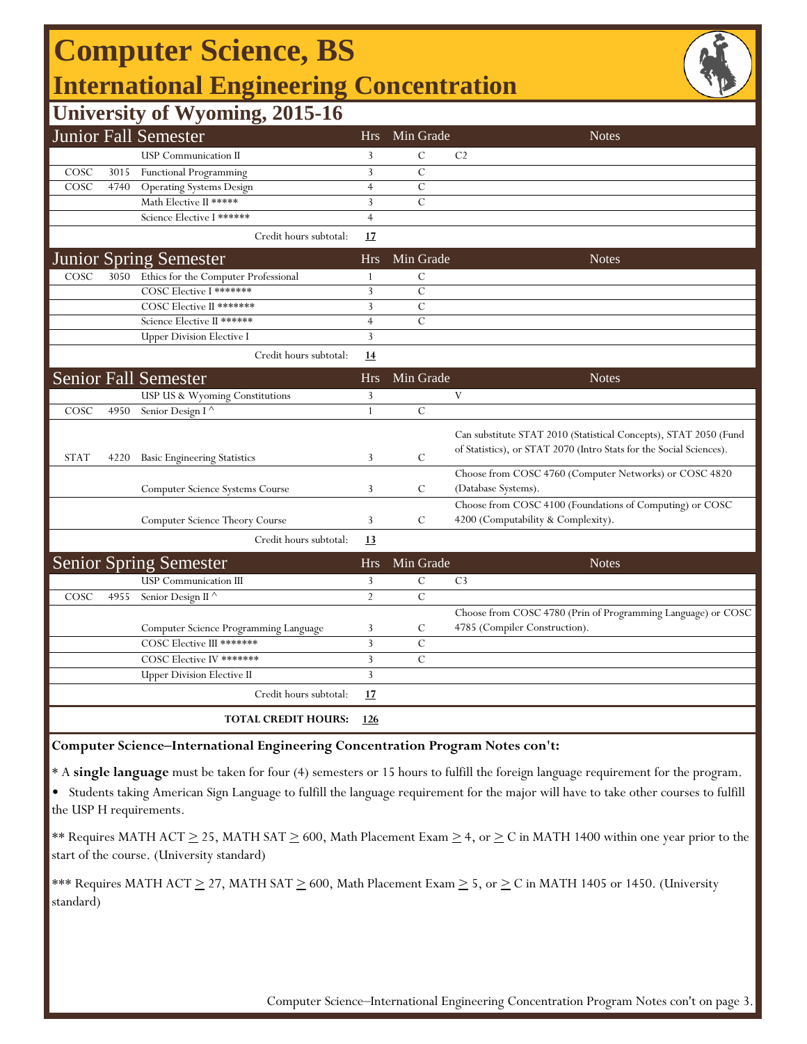# **Computer Science, BS International Engineering Concentration**



### **University of Wyoming, 2015-16**

|             |      | $  \cdot$ $\cdot$<br>Junior Fall Semester                     | <b>Hrs</b>      | Min Grade      | <b>Notes</b>                                                                                                                            |
|-------------|------|---------------------------------------------------------------|-----------------|----------------|-----------------------------------------------------------------------------------------------------------------------------------------|
|             |      | <b>USP</b> Communication II                                   | 3               | $\overline{C}$ | C <sub>2</sub>                                                                                                                          |
| COSC        | 3015 | Functional Programming                                        | 3               | C              |                                                                                                                                         |
| COSC        | 4740 | <b>Operating Systems Design</b>                               | $\overline{4}$  | $\mathcal{C}$  |                                                                                                                                         |
|             |      | Math Elective II *****                                        | 3               | $\mathcal{C}$  |                                                                                                                                         |
|             |      | Science Elective I ******                                     | $\overline{4}$  |                |                                                                                                                                         |
|             |      | Credit hours subtotal:                                        | 17              |                |                                                                                                                                         |
|             |      | <b>Junior Spring Semester</b>                                 | <b>Hrs</b>      | Min Grade      | <b>Notes</b>                                                                                                                            |
| COSC        | 3050 | Ethics for the Computer Professional                          | 1               | $\mathsf{C}$   |                                                                                                                                         |
|             |      | COSC Elective I *******                                       | 3               | $\overline{C}$ |                                                                                                                                         |
|             |      | COSC Elective II *******                                      | 3               | $\mathcal{C}$  |                                                                                                                                         |
|             |      | Science Elective II ******                                    | $\overline{4}$  | $\mathbf C$    |                                                                                                                                         |
|             |      | <b>Upper Division Elective I</b>                              | 3               |                |                                                                                                                                         |
|             |      | Credit hours subtotal:                                        | 14              |                |                                                                                                                                         |
|             |      | <b>Senior Fall Semester</b>                                   | <b>Hrs</b>      | Min Grade      | <b>Notes</b>                                                                                                                            |
|             |      | USP US & Wyoming Constitutions                                | 3               |                | V                                                                                                                                       |
| COSC        | 4950 | Senior Design I <sup><math>\wedge</math></sup>                | $\mathbf{1}$    | $\mathcal{C}$  |                                                                                                                                         |
| <b>STAT</b> | 4220 | <b>Basic Engineering Statistics</b>                           | 3               | $\mathcal{C}$  | Can substitute STAT 2010 (Statistical Concepts), STAT 2050 (Fund<br>of Statistics), or STAT 2070 (Intro Stats for the Social Sciences). |
|             |      |                                                               |                 |                | Choose from COSC 4760 (Computer Networks) or COSC 4820                                                                                  |
|             |      | Computer Science Systems Course                               | 3               | C              | (Database Systems).                                                                                                                     |
|             |      | Computer Science Theory Course                                | 3               | $\mathcal{C}$  | Choose from COSC 4100 (Foundations of Computing) or COSC<br>4200 (Computability & Complexity).                                          |
|             |      | Credit hours subtotal:                                        | <u>13</u>       |                |                                                                                                                                         |
|             |      |                                                               |                 | Min Grade      | Notes                                                                                                                                   |
|             |      | <b>Senior Spring Semester</b><br><b>USP</b> Communication III | <b>Hrs</b><br>3 | $\mathcal{C}$  | C <sub>3</sub>                                                                                                                          |
| COSC        | 4955 |                                                               | $\overline{2}$  | $\mathcal{C}$  |                                                                                                                                         |
|             |      | Senior Design II <sup><math>\wedge</math></sup>               |                 |                |                                                                                                                                         |
|             |      |                                                               |                 |                | Choose from COSC 4780 (Prin of Programming Language) or COSC                                                                            |
|             |      | Computer Science Programming Language                         | 3               | C              | 4785 (Compiler Construction).                                                                                                           |
|             |      | COSC Elective III *******                                     | 3               | $\mathsf{C}$   |                                                                                                                                         |
|             |      | COSC Elective IV *******                                      | 3               | $\mathcal{C}$  |                                                                                                                                         |
|             |      | <b>Upper Division Elective II</b>                             | 3               |                |                                                                                                                                         |
|             |      | Credit hours subtotal:                                        | 17              |                |                                                                                                                                         |
|             |      | <b>TOTAL CREDIT HOURS:</b>                                    | 126             |                |                                                                                                                                         |

#### **Computer Science‒International Engineering Concentration Program Notes con't:**

\* A **single language** must be taken for four (4) semesters or 15 hours to fulfill the foreign language requirement for the program.

• Students taking American Sign Language to fulfill the language requirement for the major will have to take other courses to fulfill the USP H requirements.

\*\* Requires MATH ACT  $\geq$  25, MATH SAT  $\geq$  600, Math Placement Exam  $\geq$  4, or  $\geq$  C in MATH 1400 within one year prior to the start of the course. (University standard)

\*\*\* Requires MATH ACT  $\geq$  27, MATH SAT  $\geq$  600, Math Placement Exam  $\geq$  5, or  $\geq$  C in MATH 1405 or 1450. (University standard)

Computer Science-International Engineering Concentration Program Notes con't on page 3.